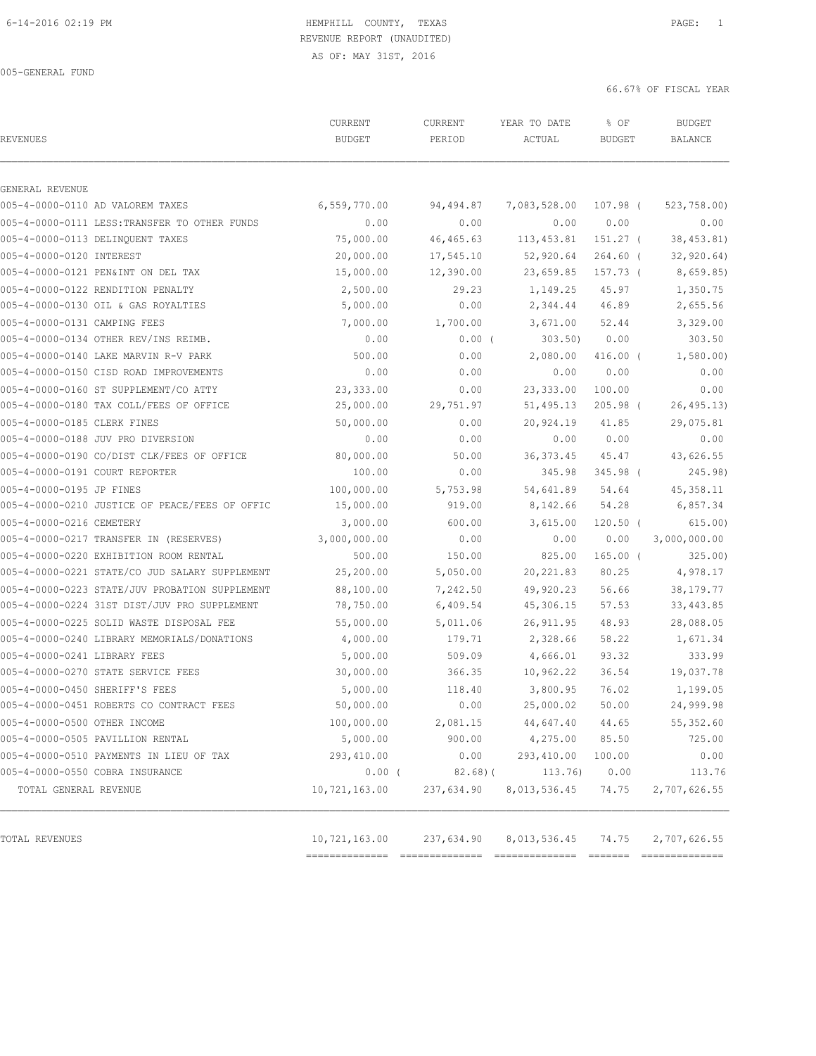## 6-14-2016 02:19 PM HEMPHILL COUNTY, TEXAS PAGE: 1 REVENUE REPORT (UNAUDITED)

AS OF: MAY 31ST, 2016

66.67% OF FISCAL YEAR

| <b>REVENUES</b>                                | CURRENT<br><b>BUDGET</b> | CURRENT<br>PERIOD | YEAR TO DATE<br>ACTUAL | % OF<br><b>BUDGET</b> | <b>BUDGET</b><br><b>BALANCE</b> |
|------------------------------------------------|--------------------------|-------------------|------------------------|-----------------------|---------------------------------|
| GENERAL REVENUE                                |                          |                   |                        |                       |                                 |
| 005-4-0000-0110 AD VALOREM TAXES               | 6,559,770.00             | 94,494.87         | 7,083,528.00 107.98 (  |                       | 523,758.00)                     |
| 005-4-0000-0111 LESS: TRANSFER TO OTHER FUNDS  | 0.00                     | 0.00              | 0.00                   | 0.00                  | 0.00                            |
| 005-4-0000-0113 DELINQUENT TAXES               | 75,000.00                | 46,465.63         | 113,453.81             | 151.27 (              | 38, 453.81)                     |
| 005-4-0000-0120 INTEREST                       | 20,000.00                | 17,545.10         | 52,920.64              | $264.60$ (            | 32, 920.64)                     |
| 005-4-0000-0121 PEN&INT ON DEL TAX             | 15,000.00                | 12,390.00         | 23,659.85              | 157.73 (              | 8,659.85                        |
| 005-4-0000-0122 RENDITION PENALTY              | 2,500.00                 | 29.23             | 1,149.25               | 45.97                 | 1,350.75                        |
| 005-4-0000-0130 OIL & GAS ROYALTIES            | 5,000.00                 | 0.00              | 2,344.44               | 46.89                 | 2,655.56                        |
| 005-4-0000-0131 CAMPING FEES                   | 7,000.00                 | 1,700.00          | 3,671.00               | 52.44                 | 3,329.00                        |
| 005-4-0000-0134 OTHER REV/INS REIMB.           | 0.00                     | $0.00$ (          | 303.50)                | 0.00                  | 303.50                          |
| 005-4-0000-0140 LAKE MARVIN R-V PARK           | 500.00                   | 0.00              | 2,080.00               | 416.00 (              | 1,580.00                        |
| 005-4-0000-0150 CISD ROAD IMPROVEMENTS         | 0.00                     | 0.00              | 0.00                   | 0.00                  | 0.00                            |
| 005-4-0000-0160 ST SUPPLEMENT/CO ATTY          | 23, 333.00               | 0.00              | 23, 333.00             | 100.00                | 0.00                            |
| 005-4-0000-0180 TAX COLL/FEES OF OFFICE        | 25,000.00                | 29,751.97         | 51,495.13              | $205.98$ (            | 26, 495.13                      |
| 005-4-0000-0185 CLERK FINES                    | 50,000.00                | 0.00              | 20,924.19              | 41.85                 | 29,075.81                       |
| 005-4-0000-0188 JUV PRO DIVERSION              | 0.00                     | 0.00              | 0.00                   | 0.00                  | 0.00                            |
| 005-4-0000-0190 CO/DIST CLK/FEES OF OFFICE     | 80,000.00                | 50.00             | 36, 373.45             | 45.47                 | 43,626.55                       |
| 005-4-0000-0191 COURT REPORTER                 | 100.00                   | 0.00              | 345.98                 | 345.98 (              | 245.98)                         |
| 005-4-0000-0195 JP FINES                       | 100,000.00               | 5,753.98          | 54,641.89              | 54.64                 | 45,358.11                       |
| 005-4-0000-0210 JUSTICE OF PEACE/FEES OF OFFIC | 15,000.00                | 919.00            | 8,142.66               | 54.28                 | 6,857.34                        |
| 005-4-0000-0216 CEMETERY                       | 3,000.00                 | 600.00            | 3,615.00               | $120.50$ (            | 615.00)                         |
| 005-4-0000-0217 TRANSFER IN (RESERVES)         | 3,000,000.00             | 0.00              | 0.00                   | 0.00                  | 3,000,000.00                    |
| 005-4-0000-0220 EXHIBITION ROOM RENTAL         | 500.00                   | 150.00            | 825.00                 | $165.00$ (            | 325.00                          |
| 005-4-0000-0221 STATE/CO JUD SALARY SUPPLEMENT | 25,200.00                | 5,050.00          | 20, 221.83             | 80.25                 | 4,978.17                        |
| 005-4-0000-0223 STATE/JUV PROBATION SUPPLEMENT | 88,100.00                | 7,242.50          | 49,920.23              | 56.66                 | 38, 179. 77                     |
| 005-4-0000-0224 31ST DIST/JUV PRO SUPPLEMENT   | 78,750.00                | 6,409.54          | 45,306.15              | 57.53                 | 33,443.85                       |
| 005-4-0000-0225 SOLID WASTE DISPOSAL FEE       | 55,000.00                | 5,011.06          | 26, 911.95             | 48.93                 | 28,088.05                       |
| 005-4-0000-0240 LIBRARY MEMORIALS/DONATIONS    | 4,000.00                 | 179.71            | 2,328.66               | 58.22                 | 1,671.34                        |
| 005-4-0000-0241 LIBRARY FEES                   | 5,000.00                 | 509.09            | 4,666.01               | 93.32                 | 333.99                          |
| 005-4-0000-0270 STATE SERVICE FEES             | 30,000.00                | 366.35            | 10,962.22              | 36.54                 | 19,037.78                       |
| 005-4-0000-0450 SHERIFF'S FEES                 | 5,000.00                 | 118.40            | 3,800.95               | 76.02                 | 1,199.05                        |
| 005-4-0000-0451 ROBERTS CO CONTRACT FEES       | 50,000.00                | 0.00              | 25,000.02 50.00        |                       | 24,999.98                       |
| 005-4-0000-0500 OTHER INCOME                   | 100,000.00               | 2,081.15          | 44,647.40              | 44.65                 | 55, 352.60                      |
| 005-4-0000-0505 PAVILLION RENTAL               | 5,000.00                 | 900.00            | 4,275.00               | 85.50                 | 725.00                          |
| 005-4-0000-0510 PAYMENTS IN LIEU OF TAX        | 293,410.00               | 0.00              | 293,410.00             | 100.00                | 0.00                            |
| 005-4-0000-0550 COBRA INSURANCE                | $0.00$ (                 | 82.68(            | 113.76)                | 0.00                  | 113.76                          |
| TOTAL GENERAL REVENUE                          | 10,721,163.00            | 237,634.90        | 8,013,536.45           | 74.75                 | 2,707,626.55                    |
| TOTAL REVENUES                                 | 10,721,163.00            | 237,634.90        | 8,013,536.45           | 74.75                 | 2,707,626.55                    |

============== ============== ============== ======= ==============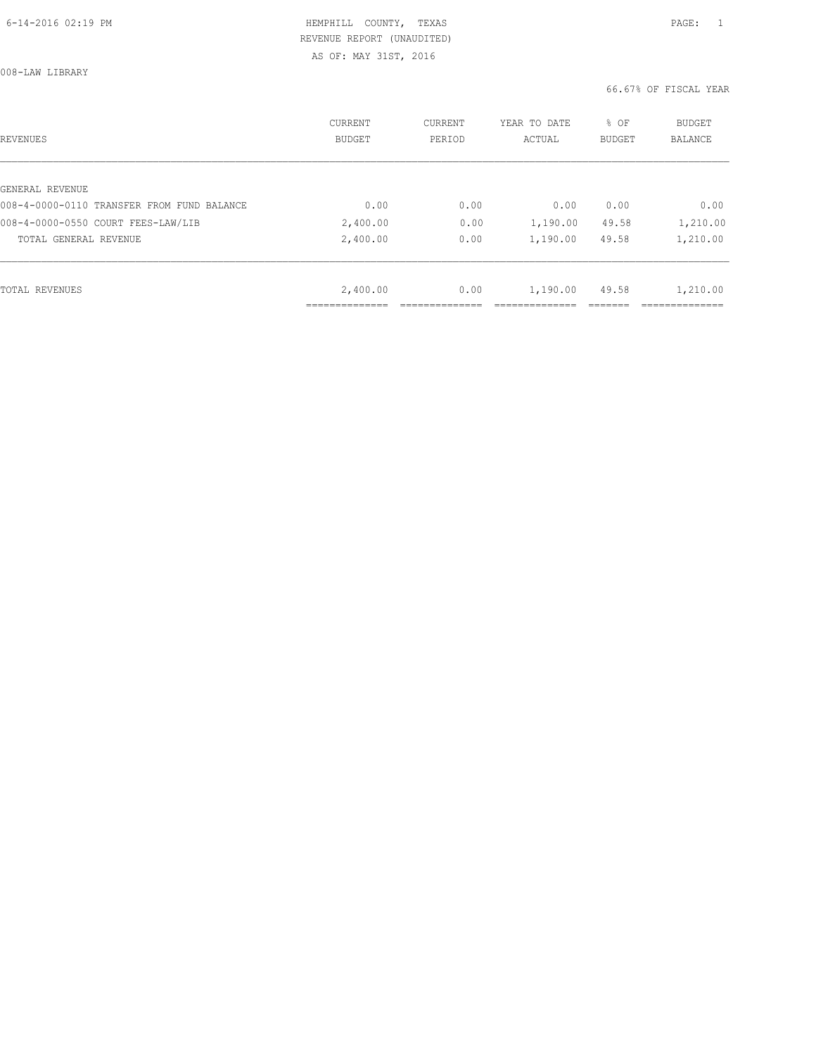| REVENUES                                   | CURRENT<br><b>BUDGET</b> | CURRENT<br>PERIOD | YEAR TO DATE<br>ACTUAL | % OF<br><b>BUDGET</b> | <b>BUDGET</b><br><b>BALANCE</b> |
|--------------------------------------------|--------------------------|-------------------|------------------------|-----------------------|---------------------------------|
|                                            |                          |                   |                        |                       |                                 |
| GENERAL REVENUE                            |                          |                   |                        |                       |                                 |
| 008-4-0000-0110 TRANSFER FROM FUND BALANCE | 0.00                     | 0.00              | 0.00                   | 0.00                  | 0.00                            |
| 008-4-0000-0550 COURT FEES-LAW/LIB         | 2,400.00                 | 0.00              | 1,190.00               | 49.58                 | 1,210.00                        |
| TOTAL GENERAL REVENUE                      | 2,400.00                 | 0.00              | 1,190.00               | 49.58                 | 1,210.00                        |
|                                            |                          |                   |                        |                       |                                 |
| TOTAL REVENUES                             | 2,400.00                 | 0.00              | 1,190.00               | 49.58                 | 1,210.00                        |
|                                            |                          |                   |                        |                       |                                 |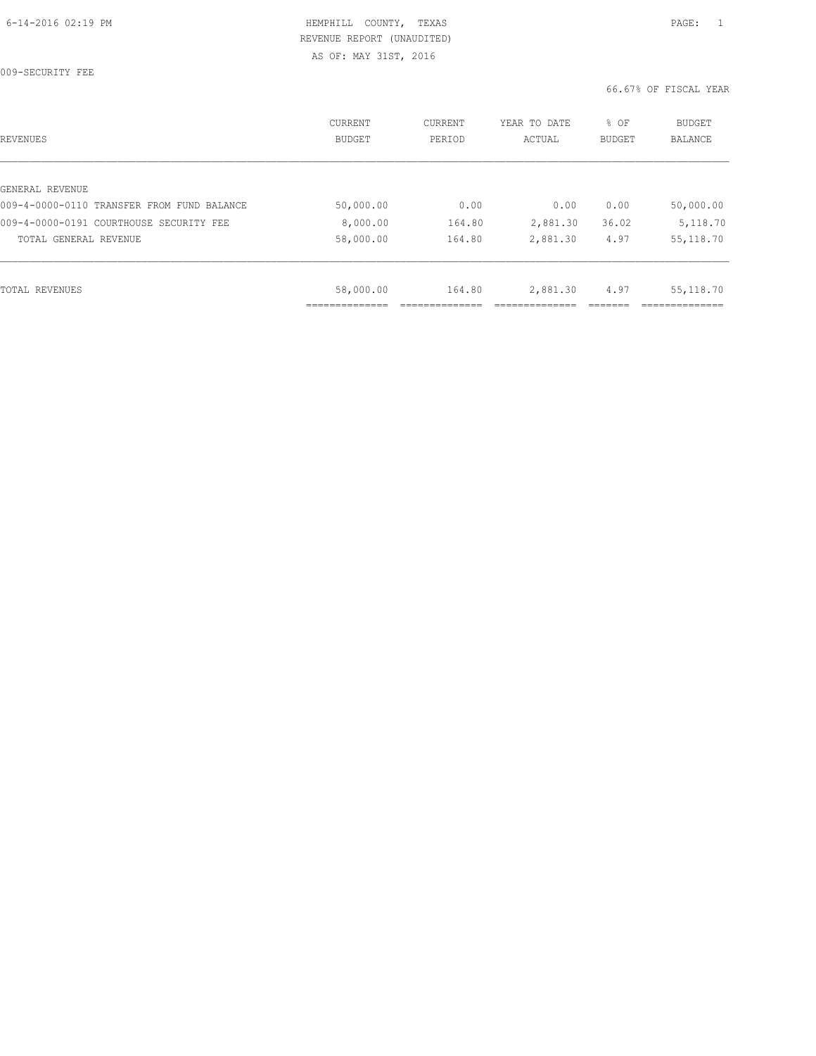009-SECURITY FEE

| REVENUES                                   | CURRENT<br><b>BUDGET</b> | CURRENT<br>PERIOD | YEAR TO DATE<br>ACTUAL | % OF<br>BUDGET | <b>BUDGET</b><br>BALANCE |
|--------------------------------------------|--------------------------|-------------------|------------------------|----------------|--------------------------|
|                                            |                          |                   |                        |                |                          |
| GENERAL REVENUE                            |                          |                   |                        |                |                          |
| 009-4-0000-0110 TRANSFER FROM FUND BALANCE | 50,000.00                | 0.00              | 0.00                   | 0.00           | 50,000.00                |
| 009-4-0000-0191 COURTHOUSE SECURITY FEE    | 8,000.00                 | 164.80            | 2,881.30               | 36.02          | 5,118.70                 |
| TOTAL GENERAL REVENUE                      | 58,000.00                | 164.80            | 2,881.30               | 4.97           | 55, 118.70               |
|                                            |                          |                   |                        |                |                          |
| TOTAL REVENUES                             | 58,000.00                | 164.80            | 2,881.30               | 4.97           | 55, 118.70               |
|                                            |                          |                   |                        |                |                          |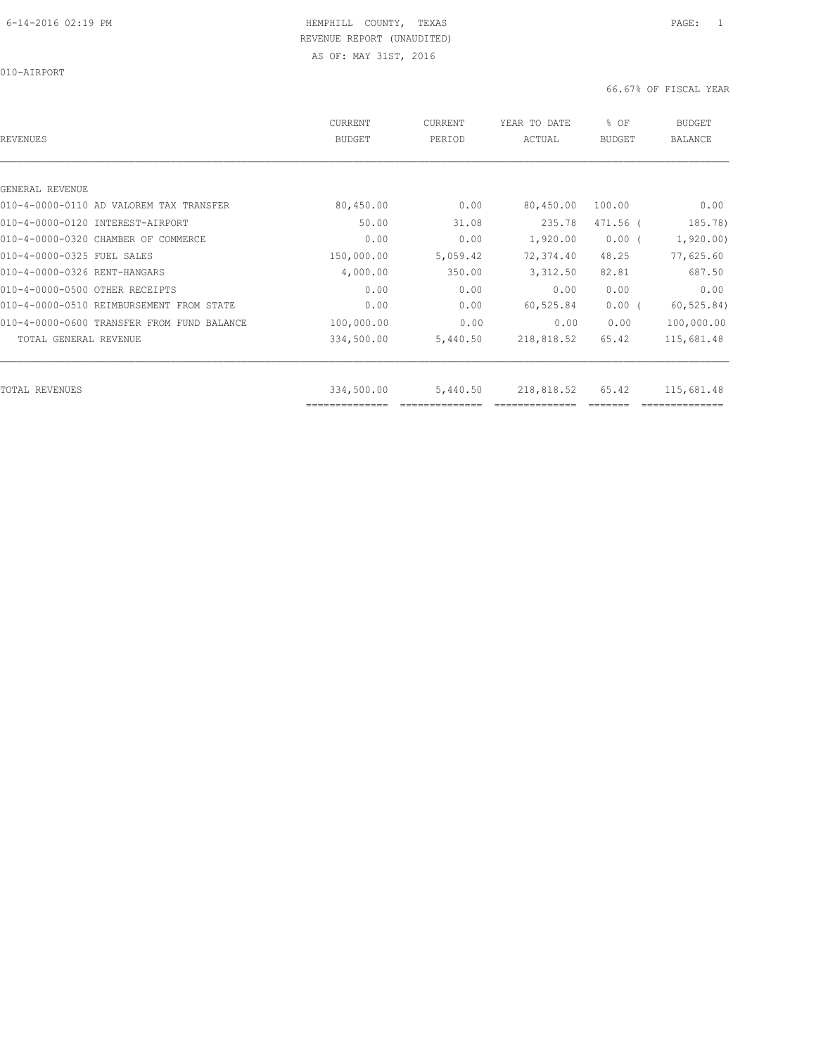010-AIRPORT

| REVENUES                                   | <b>CURRENT</b><br><b>BUDGET</b> | CURRENT<br>PERIOD | YEAR TO DATE<br>ACTUAL | % OF<br><b>BUDGET</b> | <b>BUDGET</b><br><b>BALANCE</b> |
|--------------------------------------------|---------------------------------|-------------------|------------------------|-----------------------|---------------------------------|
|                                            |                                 |                   |                        |                       |                                 |
| GENERAL REVENUE                            |                                 |                   |                        |                       |                                 |
| 010-4-0000-0110 AD VALOREM TAX TRANSFER    | 80,450.00                       | 0.00              | 80,450.00              | 100.00                | 0.00                            |
| 010-4-0000-0120 INTEREST-AIRPORT           | 50.00                           | 31.08             | 235.78                 | 471.56 (              | 185.78)                         |
| 010-4-0000-0320 CHAMBER OF COMMERCE        | 0.00                            | 0.00              | 1,920.00               | $0.00$ (              | 1,920.00)                       |
| 010-4-0000-0325 FUEL SALES                 | 150,000.00                      | 5,059.42          | 72,374.40              | 48.25                 | 77,625.60                       |
| 010-4-0000-0326 RENT-HANGARS               | 4,000.00                        | 350.00            | 3,312.50               | 82.81                 | 687.50                          |
| 010-4-0000-0500 OTHER RECEIPTS             | 0.00                            | 0.00              | 0.00                   | 0.00                  | 0.00                            |
| 010-4-0000-0510 REIMBURSEMENT FROM STATE   | 0.00                            | 0.00              | 60,525.84              | $0.00$ (              | 60, 525.84)                     |
| 010-4-0000-0600 TRANSFER FROM FUND BALANCE | 100,000.00                      | 0.00              | 0.00                   | 0.00                  | 100,000.00                      |
| TOTAL GENERAL REVENUE                      | 334,500.00                      | 5,440.50          | 218,818.52             | 65.42                 | 115,681.48                      |
| <b>TOTAL REVENUES</b>                      | 334,500.00                      | 5,440.50          | 218,818.52             | 65.42                 | 115,681.48                      |
|                                            | ==============                  |                   |                        |                       |                                 |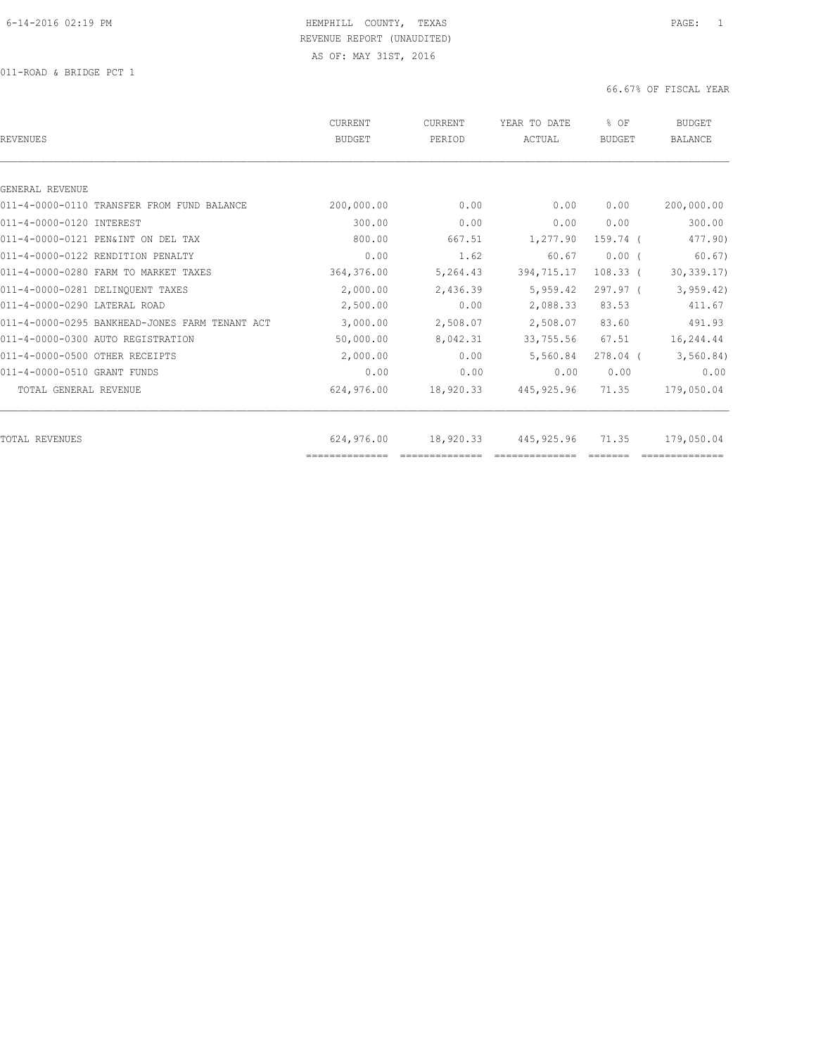011-ROAD & BRIDGE PCT 1

| REVENUES                                       | CURRENT<br><b>BUDGET</b>     | CURRENT<br>PERIOD | YEAR TO DATE<br>ACTUAL | % OF<br>BUDGET | <b>BUDGET</b><br><b>BALANCE</b> |
|------------------------------------------------|------------------------------|-------------------|------------------------|----------------|---------------------------------|
|                                                |                              |                   |                        |                |                                 |
| GENERAL REVENUE                                |                              |                   |                        |                |                                 |
| 011-4-0000-0110 TRANSFER FROM FUND BALANCE     | 200,000.00                   | 0.00              | 0.00                   | 0.00           | 200,000.00                      |
| 011-4-0000-0120 INTEREST                       | 300.00                       | 0.00              | 0.00                   | 0.00           | 300.00                          |
| 011-4-0000-0121 PEN&INT ON DEL TAX             | 800.00                       | 667.51            | 1,277.90               | 159.74 (       | 477.90)                         |
| 011-4-0000-0122 RENDITION PENALTY              | 0.00                         | 1.62              | 60.67                  | 0.00(          | 60.67)                          |
| 011-4-0000-0280 FARM TO MARKET TAXES           | 364,376.00                   | 5,264.43          | 394,715.17             | $108.33$ (     | 30, 339.17                      |
| 011-4-0000-0281 DELINOUENT TAXES               | 2,000.00                     | 2,436.39          | 5,959.42               | $297.97$ (     | 3, 959.42                       |
| 011-4-0000-0290 LATERAL ROAD                   | 2,500.00                     | 0.00              | 2,088.33               | 83.53          | 411.67                          |
| 011-4-0000-0295 BANKHEAD-JONES FARM TENANT ACT | 3,000.00                     | 2,508.07          | 2,508.07               | 83.60          | 491.93                          |
| 011-4-0000-0300 AUTO REGISTRATION              | 50,000.00                    | 8,042.31          | 33,755.56              | 67.51          | 16,244.44                       |
| 011-4-0000-0500 OTHER RECEIPTS                 | 2,000.00                     | 0.00              | 5,560.84               | $278.04$ (     | 3, 560.84)                      |
| 011-4-0000-0510 GRANT FUNDS                    | 0.00                         | 0.00              | 0.00                   | 0.00           | 0.00                            |
| TOTAL GENERAL REVENUE                          | 624,976.00                   | 18,920.33         | 445, 925.96            | 71.35          | 179,050.04                      |
|                                                |                              |                   |                        |                |                                 |
| TOTAL REVENUES                                 | 624,976.00<br>============== | 18,920.33         | 445, 925.96            | 71.35          | 179,050.04                      |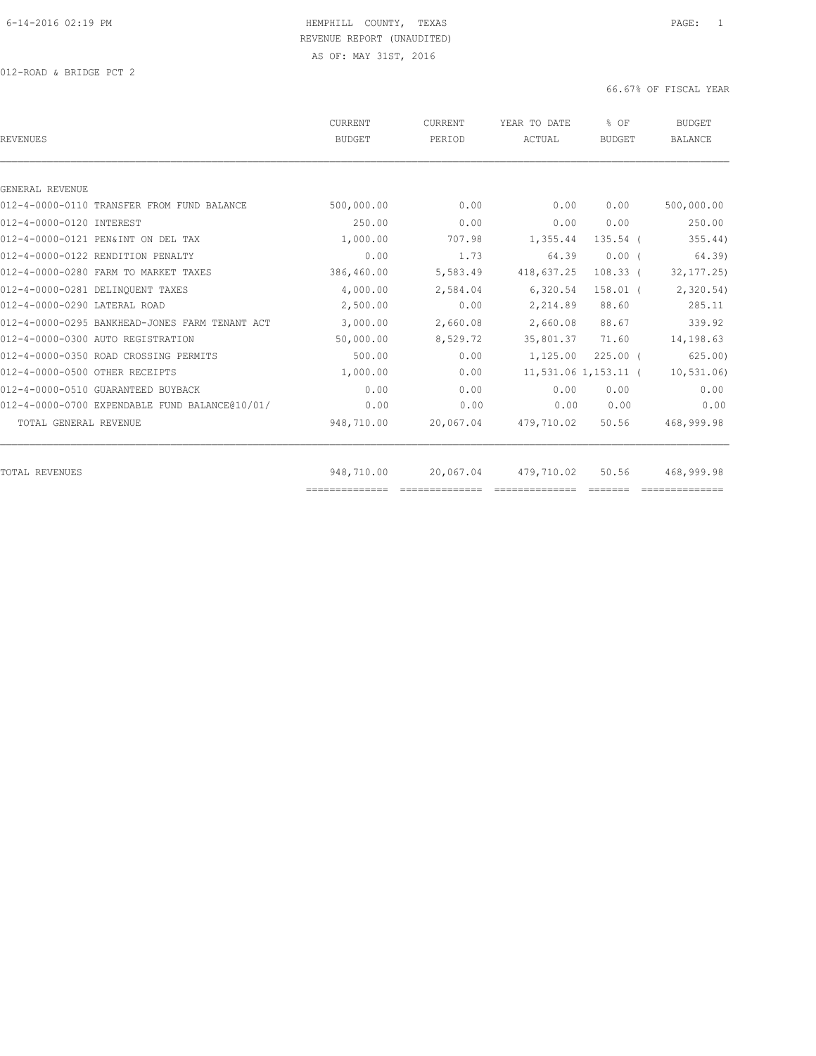012-ROAD & BRIDGE PCT 2

|      | 0.00                                                                                                                                              | 0.00                                                                             | 500,000.00                                                                                                                                                                                    |
|------|---------------------------------------------------------------------------------------------------------------------------------------------------|----------------------------------------------------------------------------------|-----------------------------------------------------------------------------------------------------------------------------------------------------------------------------------------------|
|      | 0.00                                                                                                                                              | 0.00                                                                             | 250.00                                                                                                                                                                                        |
|      |                                                                                                                                                   | $135.54$ (                                                                       | 355.44)                                                                                                                                                                                       |
| 0.00 | 1.73                                                                                                                                              | 0.00(                                                                            | 64.39)                                                                                                                                                                                        |
|      |                                                                                                                                                   | $108.33$ (                                                                       | 32, 177.25                                                                                                                                                                                    |
|      |                                                                                                                                                   | $158.01$ (                                                                       | 2,320.54)                                                                                                                                                                                     |
|      | 0.00                                                                                                                                              | 88.60                                                                            | 285.11                                                                                                                                                                                        |
|      |                                                                                                                                                   | 88.67                                                                            | 339.92                                                                                                                                                                                        |
|      |                                                                                                                                                   | 71.60                                                                            | 14,198.63                                                                                                                                                                                     |
|      | 0.00                                                                                                                                              | $225.00$ $($                                                                     | 625.00                                                                                                                                                                                        |
|      | 0.00                                                                                                                                              |                                                                                  | 10, 531.06                                                                                                                                                                                    |
| 0.00 | 0.00                                                                                                                                              | 0.00                                                                             | 0.00                                                                                                                                                                                          |
| 0.00 | 0.00                                                                                                                                              | 0.00                                                                             | 0.00                                                                                                                                                                                          |
|      |                                                                                                                                                   | 50.56                                                                            | 468,999.98                                                                                                                                                                                    |
|      |                                                                                                                                                   |                                                                                  | 468,999.98                                                                                                                                                                                    |
|      | 500,000.00<br>250.00<br>1,000.00<br>386,460.00<br>4,000.00<br>2,500.00<br>3,000.00<br>50,000.00<br>500.00<br>1,000.00<br>948,710.00<br>948,710.00 | 707.98<br>5,583.49<br>2,584.04<br>2,660.08<br>8,529.72<br>20,067.04<br>20,067.04 | 0.00<br>0.00<br>1,355.44<br>64.39<br>418,637.25<br>6,320.54<br>2,214.89<br>2,660.08<br>35,801.37<br>1,125.00<br>$11,531.06$ $1,153.11$ (<br>0.00<br>0.00<br>479,710.02<br>479,710.02<br>50.56 |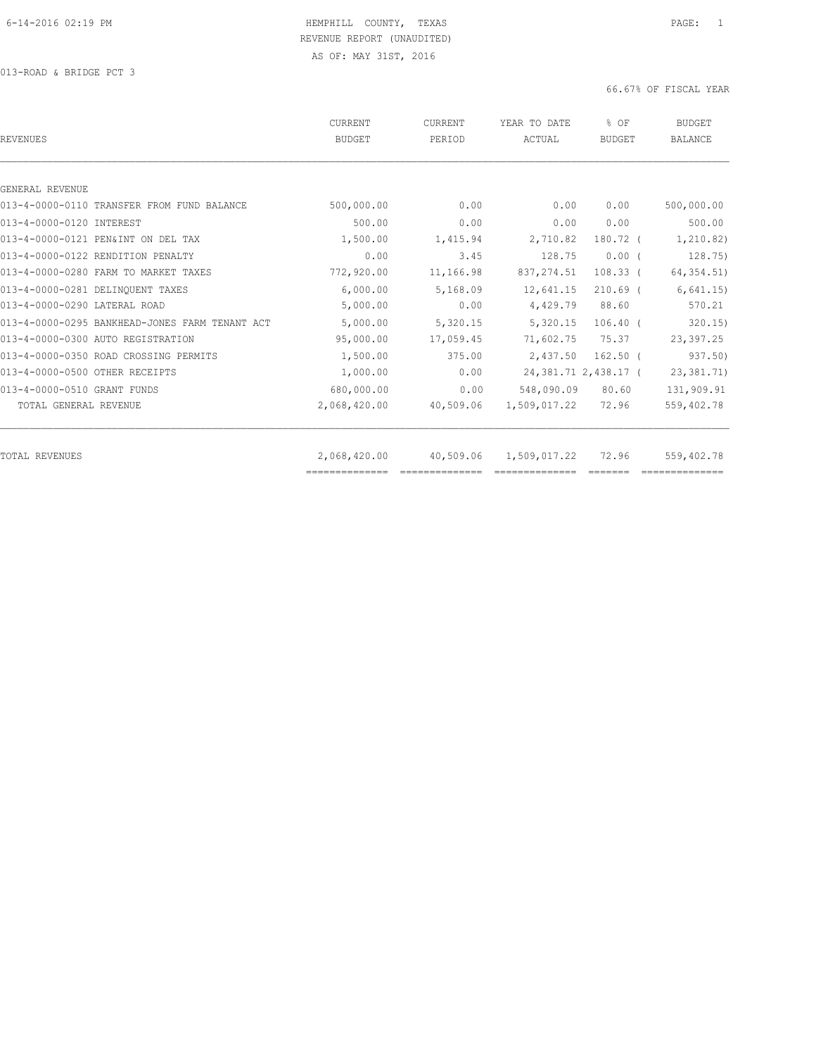| <b>REVENUES</b>                                | <b>CURRENT</b><br><b>BUDGET</b> | CURRENT<br>PERIOD | YEAR TO DATE<br>ACTUAL | % OF<br><b>BUDGET</b>  | <b>BUDGET</b><br><b>BALANCE</b> |
|------------------------------------------------|---------------------------------|-------------------|------------------------|------------------------|---------------------------------|
|                                                |                                 |                   |                        |                        |                                 |
| GENERAL REVENUE                                |                                 |                   |                        |                        |                                 |
| 013-4-0000-0110 TRANSFER FROM FUND BALANCE     | 500,000.00                      | 0.00              | 0.00                   | 0.00                   | 500,000.00                      |
| 013-4-0000-0120 INTEREST                       | 500.00                          | 0.00              | 0.00                   | 0.00                   | 500.00                          |
| 013-4-0000-0121 PEN&INT ON DEL TAX             | 1,500.00                        | 1,415.94          | 2,710.82               | 180.72 (               | 1,210.82)                       |
| 013-4-0000-0122 RENDITION PENALTY              | 0.00                            | 3.45              | 128.75                 | $0.00$ (               | 128.75)                         |
| 013-4-0000-0280 FARM TO MARKET TAXES           | 772,920.00                      | 11,166.98         | 837, 274.51            | $108.33$ (             | 64, 354.51)                     |
| 013-4-0000-0281 DELINQUENT TAXES               | 6,000.00                        | 5,168.09          | 12,641.15              | $210.69$ (             | 6,641.15                        |
| 013-4-0000-0290 LATERAL ROAD                   | 5,000.00                        | 0.00              | 4,429.79               | 88.60                  | 570.21                          |
| 013-4-0000-0295 BANKHEAD-JONES FARM TENANT ACT | 5,000.00                        | 5,320.15          | 5,320.15               | $106.40$ (             | 320.15                          |
| 013-4-0000-0300 AUTO REGISTRATION              | 95,000.00                       | 17,059.45         | 71,602.75              | 75.37                  | 23,397.25                       |
| 013-4-0000-0350 ROAD CROSSING PERMITS          | 1,500.00                        | 375.00            | 2,437.50               | $162.50$ $($           | 937.50)                         |
| 013-4-0000-0500 OTHER RECEIPTS                 | 1,000.00                        | 0.00              |                        | 24, 381.71 2, 438.17 ( | 23, 381.71)                     |
| 013-4-0000-0510 GRANT FUNDS                    | 680,000.00                      | 0.00              | 548,090.09             | 80.60                  | 131,909.91                      |
| TOTAL GENERAL REVENUE                          | 2,068,420.00                    | 40,509.06         | 1,509,017.22           | 72.96                  | 559,402.78                      |
|                                                |                                 |                   |                        |                        |                                 |
| TOTAL REVENUES                                 | 2,068,420.00<br>--------------  | 40,509.06         | 1,509,017.22           | 72.96                  | 559,402.78                      |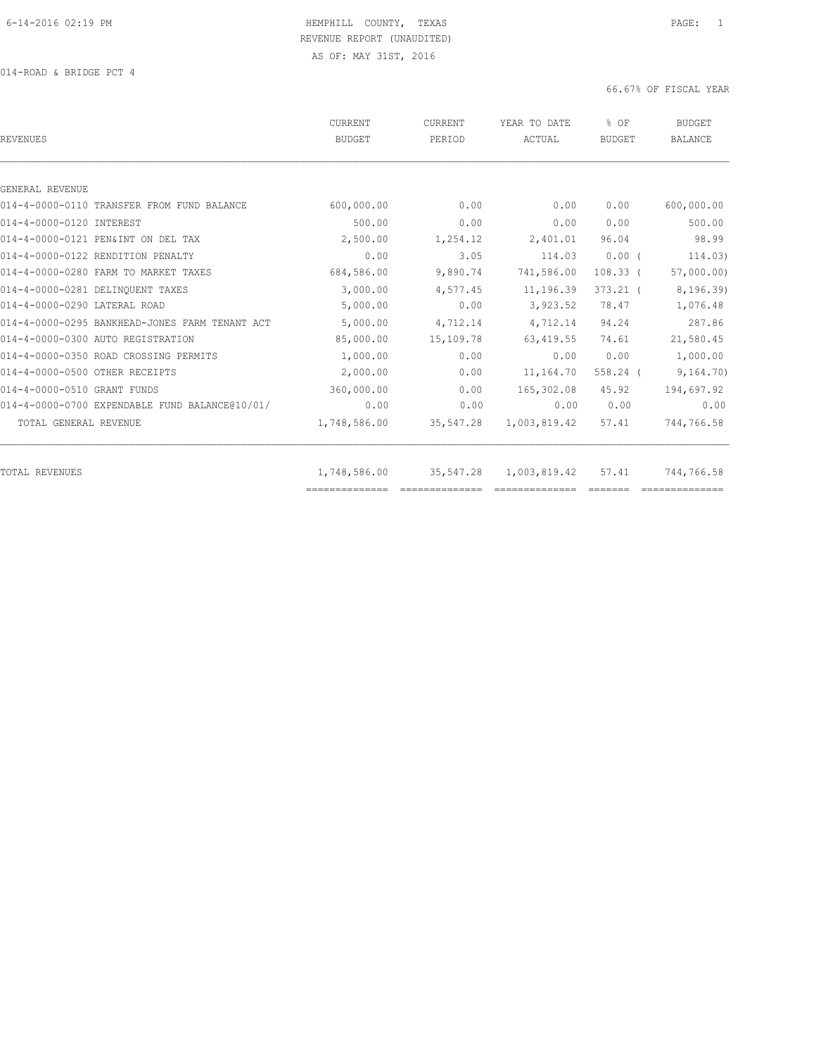014-ROAD & BRIDGE PCT 4

| REVENUES                                       | CURRENT<br><b>BUDGET</b>       | <b>CURRENT</b><br>PERIOD                                                                                                                                                                                                                                                                                                                                                                                                                                                                                  | YEAR TO DATE<br>ACTUAL         | % OF<br><b>BUDGET</b> | <b>BUDGET</b><br><b>BALANCE</b> |
|------------------------------------------------|--------------------------------|-----------------------------------------------------------------------------------------------------------------------------------------------------------------------------------------------------------------------------------------------------------------------------------------------------------------------------------------------------------------------------------------------------------------------------------------------------------------------------------------------------------|--------------------------------|-----------------------|---------------------------------|
|                                                |                                |                                                                                                                                                                                                                                                                                                                                                                                                                                                                                                           |                                |                       |                                 |
| GENERAL REVENUE                                |                                |                                                                                                                                                                                                                                                                                                                                                                                                                                                                                                           |                                |                       |                                 |
| 014-4-0000-0110 TRANSFER FROM FUND BALANCE     | 600,000.00                     | 0.00                                                                                                                                                                                                                                                                                                                                                                                                                                                                                                      | 0.00                           | 0.00                  | 600,000.00                      |
| 014-4-0000-0120 INTEREST                       | 500.00                         | 0.00                                                                                                                                                                                                                                                                                                                                                                                                                                                                                                      | 0.00                           | 0.00                  | 500.00                          |
| 014-4-0000-0121 PEN&INT ON DEL TAX             | 2,500.00                       | 1,254.12                                                                                                                                                                                                                                                                                                                                                                                                                                                                                                  | 2,401.01                       | 96.04                 | 98.99                           |
| 014-4-0000-0122 RENDITION PENALTY              | 0.00                           | 3.05                                                                                                                                                                                                                                                                                                                                                                                                                                                                                                      | 114.03                         | $0.00$ (              | 114.03)                         |
| 014-4-0000-0280 FARM TO MARKET TAXES           | 684,586.00                     | 9,890.74                                                                                                                                                                                                                                                                                                                                                                                                                                                                                                  | 741,586.00                     | $108.33$ (            | 57,000.00)                      |
| 014-4-0000-0281 DELINOUENT TAXES               | 3,000.00                       | 4,577.45                                                                                                                                                                                                                                                                                                                                                                                                                                                                                                  | 11,196.39                      | $373.21$ (            | 8,196.39)                       |
| 014-4-0000-0290 LATERAL ROAD                   | 5,000.00                       | 0.00                                                                                                                                                                                                                                                                                                                                                                                                                                                                                                      | 3,923.52                       | 78.47                 | 1,076.48                        |
| 014-4-0000-0295 BANKHEAD-JONES FARM TENANT ACT | 5,000.00                       | 4,712.14                                                                                                                                                                                                                                                                                                                                                                                                                                                                                                  | 4,712.14                       | 94.24                 | 287.86                          |
| 014-4-0000-0300 AUTO REGISTRATION              | 85,000.00                      | 15,109.78                                                                                                                                                                                                                                                                                                                                                                                                                                                                                                 | 63, 419.55                     | 74.61                 | 21,580.45                       |
| 014-4-0000-0350 ROAD CROSSING PERMITS          | 1,000.00                       | 0.00                                                                                                                                                                                                                                                                                                                                                                                                                                                                                                      | 0.00                           | 0.00                  | 1,000.00                        |
| 014-4-0000-0500 OTHER RECEIPTS                 | 2,000.00                       | 0.00                                                                                                                                                                                                                                                                                                                                                                                                                                                                                                      | 11,164.70                      | $558.24$ (            | 9, 164, 70)                     |
| 014-4-0000-0510 GRANT FUNDS                    | 360,000.00                     | 0.00                                                                                                                                                                                                                                                                                                                                                                                                                                                                                                      | 165,302.08                     | 45.92                 | 194,697.92                      |
| 014-4-0000-0700 EXPENDABLE FUND BALANCE@10/01/ | 0.00                           | 0.00                                                                                                                                                                                                                                                                                                                                                                                                                                                                                                      | 0.00                           | 0.00                  | 0.00                            |
| TOTAL GENERAL REVENUE                          | 1,748,586.00                   | 35,547.28                                                                                                                                                                                                                                                                                                                                                                                                                                                                                                 | 1,003,819.42                   | 57.41                 | 744,766.58                      |
|                                                |                                |                                                                                                                                                                                                                                                                                                                                                                                                                                                                                                           |                                |                       |                                 |
| TOTAL REVENUES                                 | 1,748,586.00<br>============== | 35,547.28<br>$\begin{array}{c} \multicolumn{2}{c} {\textbf{1}} & \multicolumn{2}{c} {\textbf{2}} & \multicolumn{2}{c} {\textbf{3}} & \multicolumn{2}{c} {\textbf{4}} \\ \multicolumn{2}{c} {\textbf{2}} & \multicolumn{2}{c} {\textbf{3}} & \multicolumn{2}{c} {\textbf{4}} & \multicolumn{2}{c} {\textbf{5}} & \multicolumn{2}{c} {\textbf{6}} \\ \multicolumn{2}{c} {\textbf{4}} & \multicolumn{2}{c} {\textbf{5}} & \multicolumn{2}{c} {\textbf{6}} & \multicolumn{2}{c} {\textbf{6}} & \multicolumn{$ | 1,003,819.42<br>============== | 57.41                 | 744,766.58                      |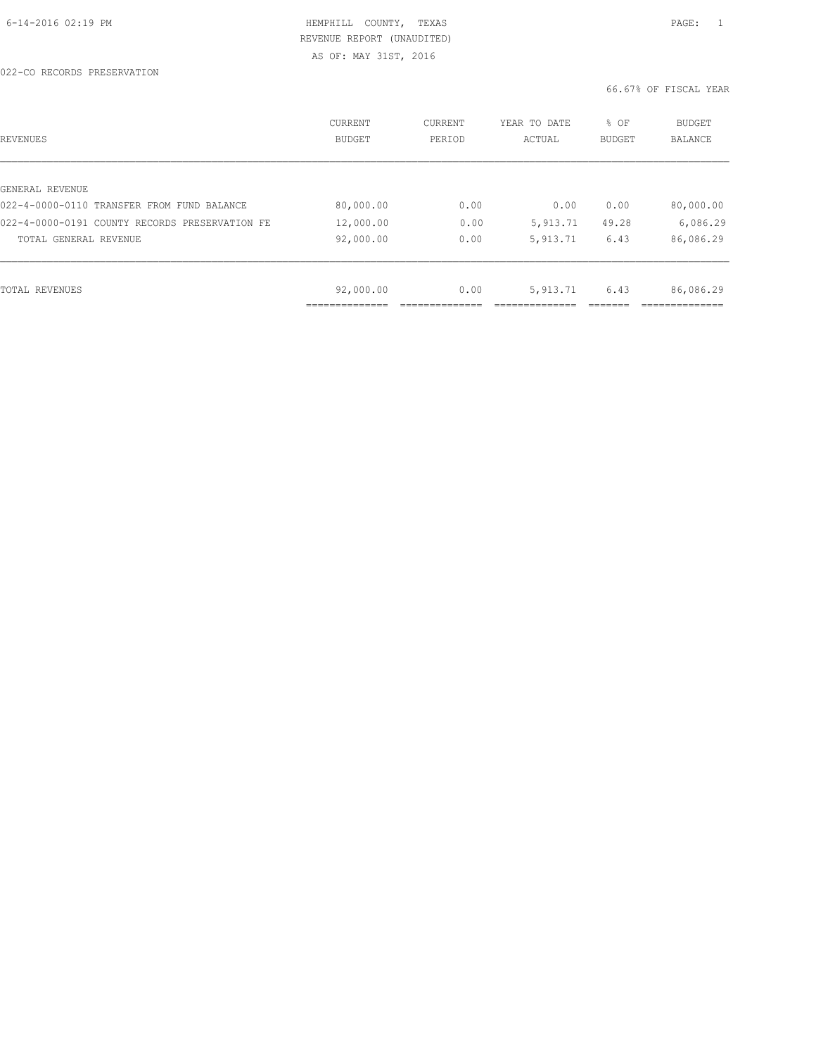| REVENUES                                       | CURRENT<br><b>BUDGET</b> | CURRENT<br>PERIOD | YEAR TO DATE<br>ACTUAL | % OF<br>BUDGET | BUDGET<br>BALANCE |
|------------------------------------------------|--------------------------|-------------------|------------------------|----------------|-------------------|
|                                                |                          |                   |                        |                |                   |
| GENERAL REVENUE                                |                          |                   |                        |                |                   |
| 022-4-0000-0110 TRANSFER FROM FUND BALANCE     | 80,000.00                | 0.00              | 0.00                   | 0.00           | 80,000.00         |
| 022-4-0000-0191 COUNTY RECORDS PRESERVATION FE | 12,000.00                | 0.00              | 5,913.71               | 49.28          | 6,086.29          |
| TOTAL GENERAL REVENUE                          | 92,000.00                | 0.00              | 5,913.71               | 6.43           | 86,086.29         |
|                                                |                          |                   |                        |                |                   |
| TOTAL REVENUES                                 | 92,000.00                | 0.00              | 5, 913.71              | 6.43           | 86,086.29         |
|                                                |                          |                   |                        |                |                   |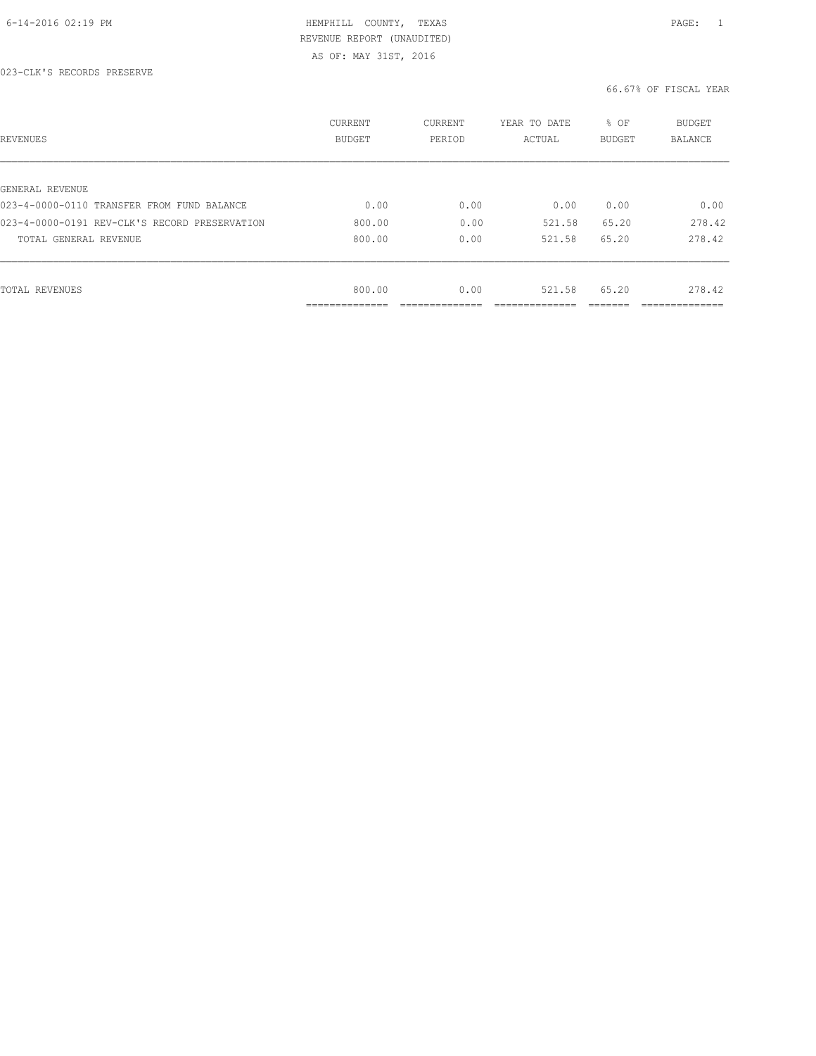| REVENUES                                      | CURRENT<br><b>BUDGET</b> | CURRENT<br>PERIOD | YEAR TO DATE<br>ACTUAL | % OF<br>BUDGET | BUDGET<br><b>BALANCE</b> |
|-----------------------------------------------|--------------------------|-------------------|------------------------|----------------|--------------------------|
|                                               |                          |                   |                        |                |                          |
| GENERAL REVENUE                               |                          |                   |                        |                |                          |
| 023-4-0000-0110 TRANSFER FROM FUND BALANCE    | 0.00                     | 0.00              | 0.00                   | 0.00           | 0.00                     |
| 023-4-0000-0191 REV-CLK'S RECORD PRESERVATION | 800.00                   | 0.00              | 521.58                 | 65.20          | 278.42                   |
| TOTAL GENERAL REVENUE                         | 800.00                   | 0.00              | 521.58                 | 65.20          | 278.42                   |
|                                               |                          |                   |                        |                |                          |
| TOTAL REVENUES                                | 800.00                   | 0.00              | 521.58                 | 65.20          | 278.42                   |
|                                               | -----------              |                   |                        |                |                          |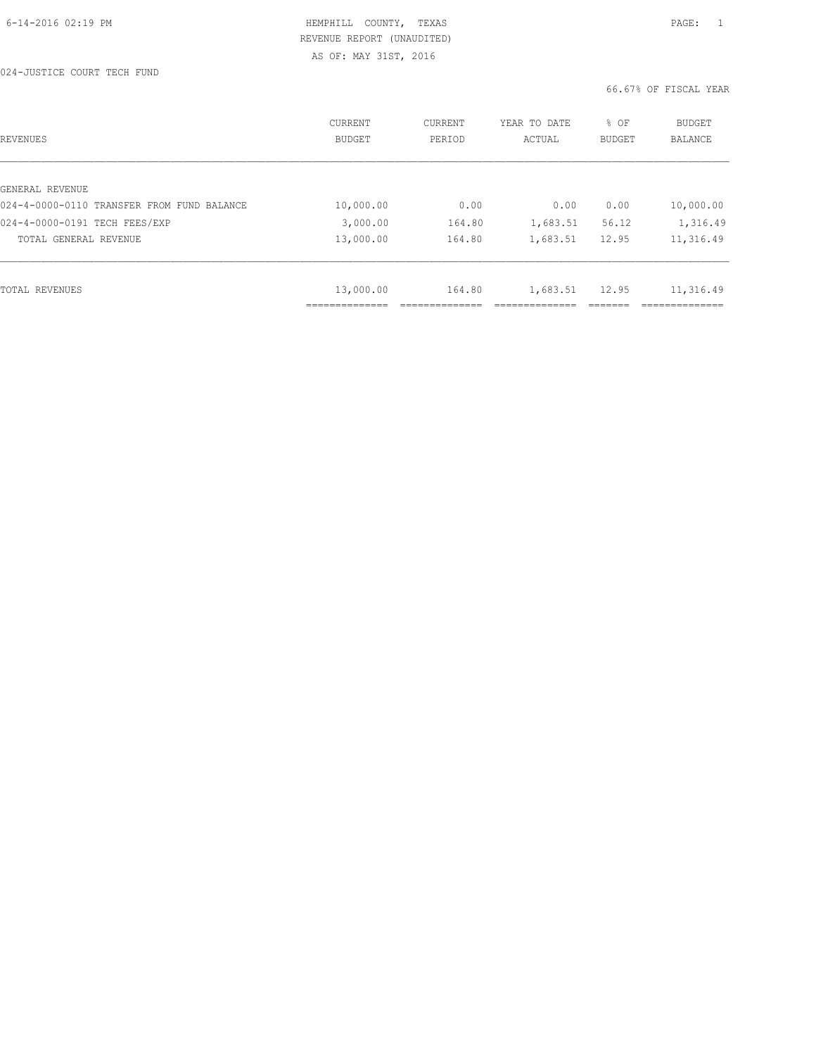| REVENUES                                   | CURRENT<br><b>BUDGET</b> | CURRENT<br>PERIOD | YEAR TO DATE<br>ACTUAL | % OF<br><b>BUDGET</b> | <b>BUDGET</b><br>BALANCE |
|--------------------------------------------|--------------------------|-------------------|------------------------|-----------------------|--------------------------|
|                                            |                          |                   |                        |                       |                          |
| GENERAL REVENUE                            |                          |                   |                        |                       |                          |
| 024-4-0000-0110 TRANSFER FROM FUND BALANCE | 10,000.00                | 0.00              | 0.00                   | 0.00                  | 10,000.00                |
| 024-4-0000-0191 TECH FEES/EXP              | 3,000.00                 | 164.80            | 1,683.51               | 56.12                 | 1,316.49                 |
| TOTAL GENERAL REVENUE                      | 13,000.00                | 164.80            | 1,683.51               | 12.95                 | 11,316.49                |
|                                            |                          |                   |                        |                       |                          |
| TOTAL REVENUES                             | 13,000.00                | 164.80            | 1,683.51               | 12.95                 | 11,316.49                |
|                                            | .                        |                   |                        |                       | ----------               |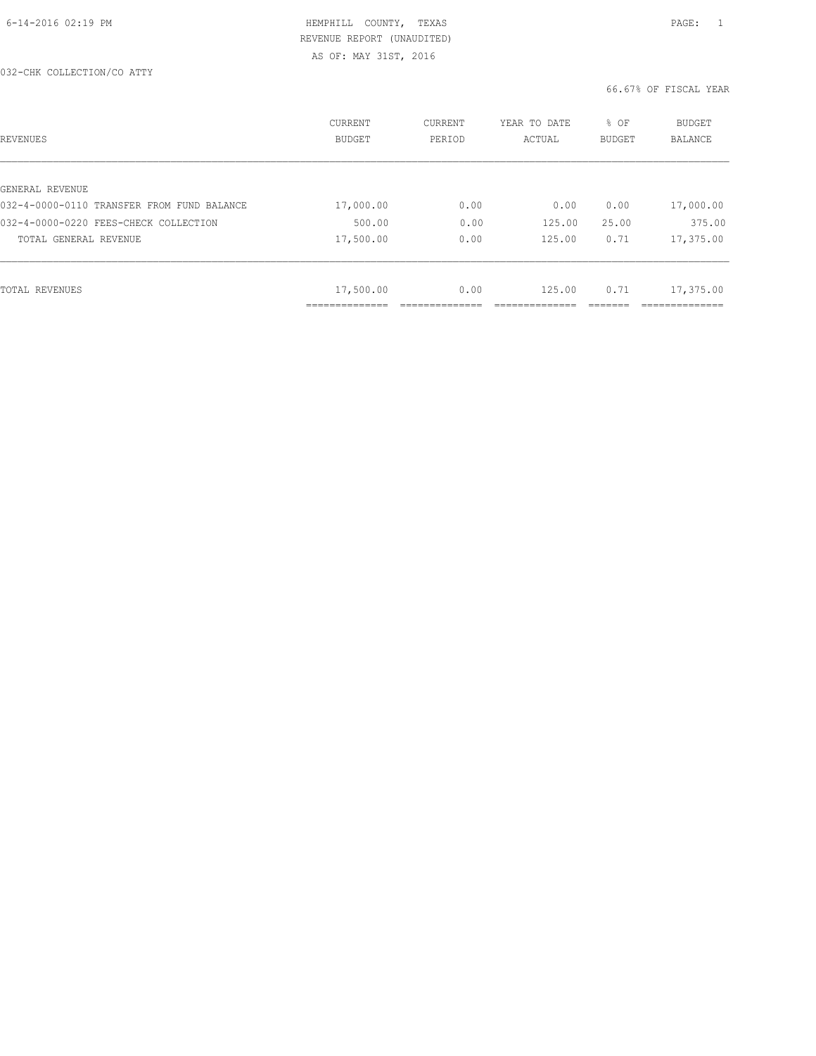| REVENUES                                   | CURRENT<br><b>BUDGET</b> | CURRENT<br>PERIOD | YEAR TO DATE<br>ACTUAL | % OF<br>BUDGET | BUDGET<br><b>BALANCE</b> |
|--------------------------------------------|--------------------------|-------------------|------------------------|----------------|--------------------------|
|                                            |                          |                   |                        |                |                          |
| GENERAL REVENUE                            |                          |                   |                        |                |                          |
| 032-4-0000-0110 TRANSFER FROM FUND BALANCE | 17,000.00                | 0.00              | 0.00                   | 0.00           | 17,000.00                |
| 032-4-0000-0220 FEES-CHECK COLLECTION      | 500.00                   | 0.00              | 125.00                 | 25.00          | 375.00                   |
| TOTAL GENERAL REVENUE                      | 17,500.00                | 0.00              | 125.00                 | 0.71           | 17,375.00                |
|                                            |                          |                   |                        |                |                          |
| TOTAL REVENUES                             | 17,500.00                | 0.00              | 125.00                 | 0.71           | 17,375.00                |
|                                            | ____________             |                   |                        |                |                          |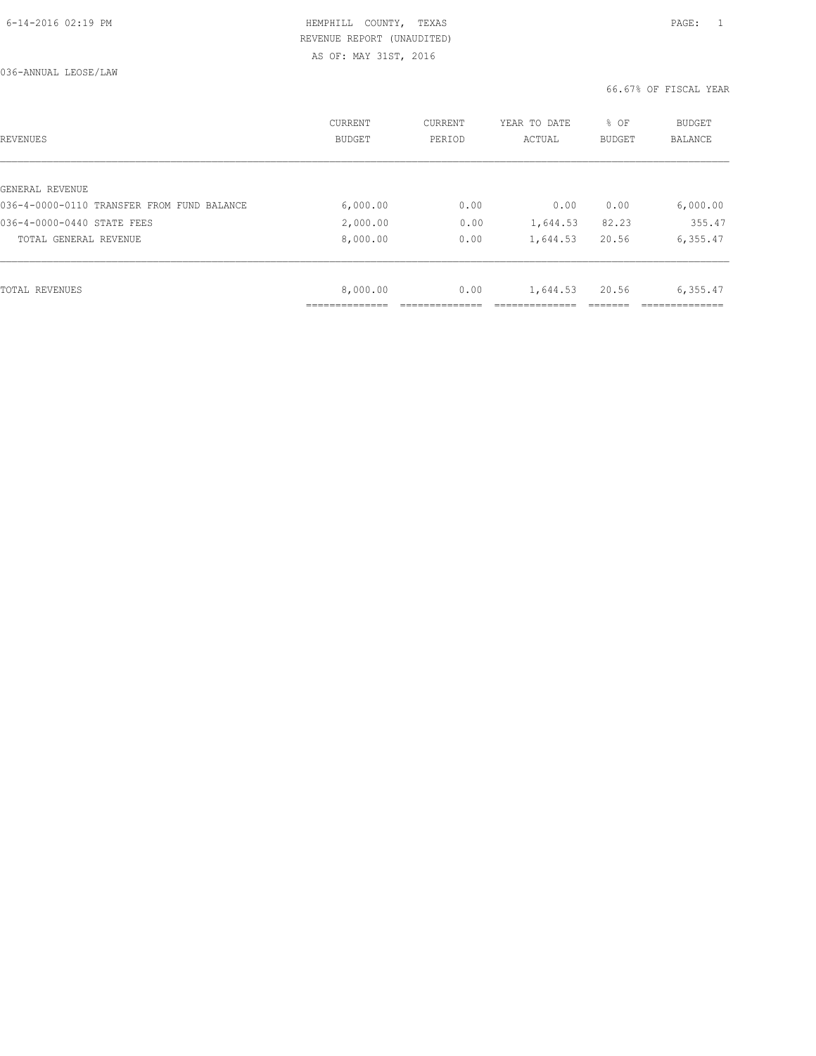| REVENUES                                   | <b>CURRENT</b><br><b>BUDGET</b> | CURRENT<br>PERIOD | YEAR TO DATE<br>ACTUAL | % OF<br>BUDGET | BUDGET<br>BALANCE |
|--------------------------------------------|---------------------------------|-------------------|------------------------|----------------|-------------------|
|                                            |                                 |                   |                        |                |                   |
| GENERAL REVENUE                            |                                 |                   |                        |                |                   |
| 036-4-0000-0110 TRANSFER FROM FUND BALANCE | 6,000.00                        | 0.00              | 0.00                   | 0.00           | 6,000.00          |
| 036-4-0000-0440 STATE FEES                 | 2,000.00                        | 0.00              | 1,644.53               | 82.23          | 355.47            |
| TOTAL GENERAL REVENUE                      | 8,000.00                        | 0.00              | 1,644.53               | 20.56          | 6,355.47          |
|                                            |                                 |                   |                        |                |                   |
| TOTAL REVENUES                             | 8,000.00                        | 0.00              | 1,644.53               | 20.56          | 6,355.47          |
|                                            |                                 |                   |                        |                |                   |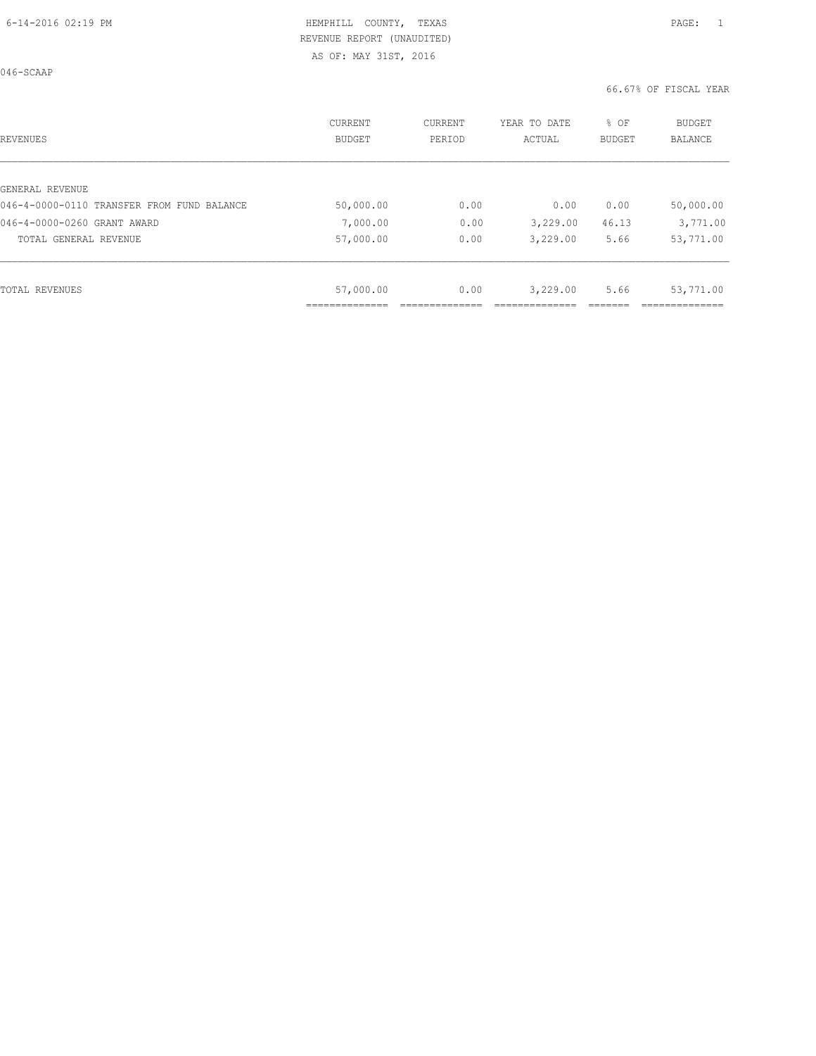046-SCAAP

| REVENUES                                   | CURRENT<br>BUDGET | CURRENT<br>PERIOD | YEAR TO DATE<br>ACTUAL | % OF<br>BUDGET | BUDGET<br>BALANCE |
|--------------------------------------------|-------------------|-------------------|------------------------|----------------|-------------------|
|                                            |                   |                   |                        |                |                   |
| GENERAL REVENUE                            |                   |                   |                        |                |                   |
| 046-4-0000-0110 TRANSFER FROM FUND BALANCE | 50,000.00         | 0.00              | 0.00                   | 0.00           | 50,000.00         |
| 046-4-0000-0260 GRANT AWARD                | 7,000.00          | 0.00              | 3,229.00               | 46.13          | 3,771.00          |
| TOTAL GENERAL REVENUE                      | 57,000.00         | 0.00              | 3,229.00               | 5.66           | 53,771.00         |
|                                            |                   |                   |                        |                |                   |
| TOTAL REVENUES                             | 57,000.00         | 0.00              | 3,229.00               | 5.66           | 53,771.00         |
|                                            |                   |                   |                        |                |                   |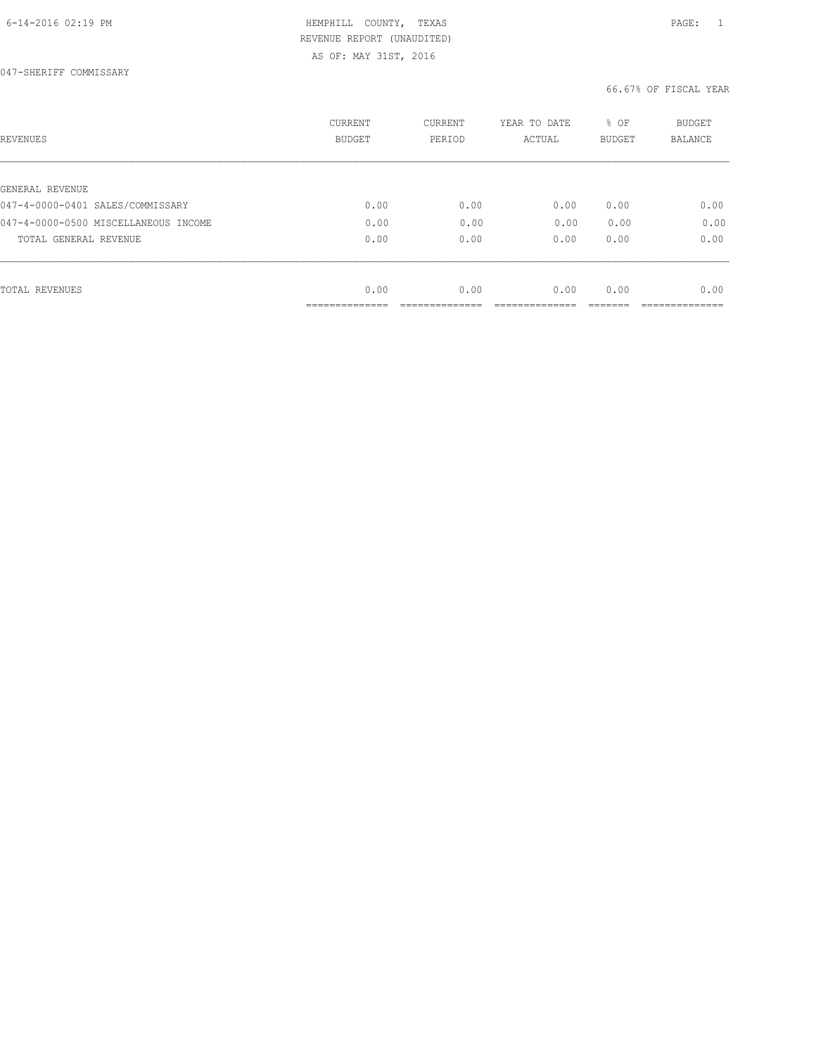# 6-14-2016 02:19 PM HEMPHILL COUNTY, TEXAS PAGE: 1 REVENUE REPORT (UNAUDITED)

| <b>REVENUES</b>                      | CURRENT<br><b>BUDGET</b> | CURRENT<br>PERIOD | YEAR TO DATE<br>ACTUAL | % OF<br><b>BUDGET</b> | <b>BUDGET</b><br>BALANCE |
|--------------------------------------|--------------------------|-------------------|------------------------|-----------------------|--------------------------|
|                                      |                          |                   |                        |                       |                          |
| GENERAL REVENUE                      |                          |                   |                        |                       |                          |
| 047-4-0000-0401 SALES/COMMISSARY     | 0.00                     | 0.00              | 0.00                   | 0.00                  | 0.00                     |
| 047-4-0000-0500 MISCELLANEOUS INCOME | 0.00                     | 0.00              | 0.00                   | 0.00                  | 0.00                     |
| TOTAL GENERAL REVENUE                | 0.00                     | 0.00              | 0.00                   | 0.00                  | 0.00                     |
|                                      |                          |                   |                        |                       |                          |
| <b>TOTAL REVENUES</b>                | 0.00                     | 0.00              | 0.00                   | 0.00                  | 0.00                     |
|                                      | -------------            |                   |                        |                       |                          |